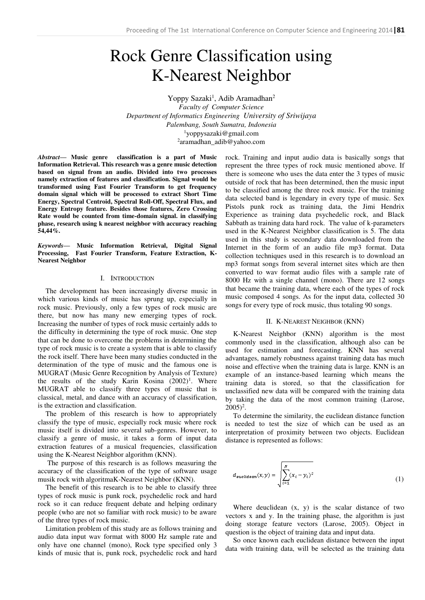# Rock Genre Classification using K-Nearest Neighbor

Yoppy Sazaki<sup>1</sup>, Adib Aramadhan<sup>2</sup> *Faculty of Computer Science Department of Informatics Engineering University of Sriwijaya Palembang, South Sumatra, Indonesia*  <sup>1</sup>yoppysazaki@gmail.com 2 aramadhan\_adib@yahoo.com

*Abstract***— Music genre classification is a part of Music Information Retrieval. This research was a genre music detection based on signal from an audio. Divided into two processes namely extraction of features and classification. Signal would be transformed using Fast Fourier Transform to get frequency domain signal which will be processed to extract Short Time Energy, Spectral Centroid, Spectral Roll-Off, Spectral Flux, and Energy Entropy feature. Besides those features, Zero Crossing Rate would be counted from time-domain signal. in classifying phase, research using k nearest neighbor with accuracy reaching 54,44%.** 

*Keywords***— Music Information Retrieval, Digital Signal Processing, Fast Fourier Transform, Feature Extraction, K-Nearest Neighbor** 

# I. INTRODUCTION

The development has been increasingly diverse music in which various kinds of music has sprung up, especially in rock music. Previously, only a few types of rock music are there, but now has many new emerging types of rock. Increasing the number of types of rock music certainly adds to the difficulty in determining the type of rock music. One step that can be done to overcome the problems in determining the type of rock music is to create a system that is able to classify the rock itself. There have been many studies conducted in the determination of the type of music and the famous one is MUGRAT (Music Genre Recognition by Analysis of Texture) the results of the study Karin Kosina (2002)<sup>1</sup>. Where MUGRAT able to classify three types of music that is classical, metal, and dance with an accuracy of classification, is the extraction and classification.

The problem of this research is how to appropriately classify the type of music, especially rock music where rock music itself is divided into several sub-genres. However, to classify a genre of music, it takes a form of input data extraction features of a musical frequencies, classification using the K-Nearest Neighbor algorithm (KNN).

 The purpose of this research is as follows measuring the accuracy of the classification of the type of software usage musik rock with algoritmaK-Nearest Neighbor (KNN).

The benefit of this research is to be able to classify three types of rock music is punk rock, psychedelic rock and hard rock so it can reduce frequent debate and helping ordinary people (who are not so familiar with rock music) to be aware of the three types of rock music.

Limitation problem of this study are as follows training and audio data input wav format with 8000 Hz sample rate and only have one channel (mono), Rock type specified only 3 kinds of music that is, punk rock, psychedelic rock and hard

rock. Training and input audio data is basically songs that represent the three types of rock music mentioned above. If there is someone who uses the data enter the 3 types of music outside of rock that has been determined, then the music input to be classified among the three rock music. For the training data selected band is legendary in every type of music. Sex Pistols punk rock as training data, the Jimi Hendrix Experience as training data psychedelic rock, and Black Sabbath as training data hard rock. The value of k-parameters used in the K-Nearest Neighbor classification is 5. The data used in this study is secondary data downloaded from the Internet in the form of an audio file mp3 format. Data collection techniques used in this research is to download an mp3 format songs from several internet sites which are then converted to wav format audio files with a sample rate of 8000 Hz with a single channel (mono). There are 12 songs that became the training data, where each of the types of rock music composed 4 songs. As for the input data, collected 30 songs for every type of rock music, thus totaling 90 songs.

#### II. K-NEAREST NEIGHBOR (KNN)

K-Nearest Neighbor (KNN) algorithm is the most commonly used in the classification, although also can be used for estimation and forecasting. KNN has several advantages, namely robustness against training data has much noise and effective when the training data is large. KNN is an example of an instance-based learning which means the training data is stored, so that the classification for unclassified new data will be compared with the training data by taking the data of the most common training (Larose,  $2005)^2$ .

To determine the similarity, the euclidean distance function is needed to test the size of which can be used as an interpretation of proximity between two objects. Euclidean distance is represented as follows:

$$
d_{\text{switcham}}(x, y) = \sqrt{\sum_{i=1}^{N} (x_i - y_i)^2}
$$
 (1)

Where deuclidean (x, y) is the scalar distance of two vectors x and y. In the training phase, the algorithm is just doing storage feature vectors (Larose, 2005). Object in question is the object of training data and input data.

So once known each euclidean distance between the input data with training data, will be selected as the training data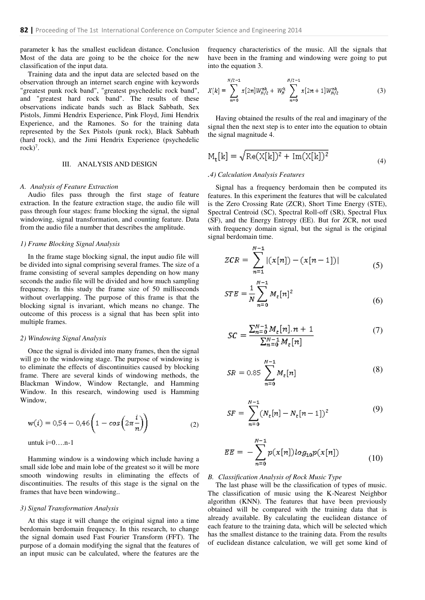parameter k has the smallest euclidean distance. Conclusion Most of the data are going to be the choice for the new classification of the input data.

Training data and the input data are selected based on the observation through an internet search engine with keywords "greatest punk rock band", "greatest psychedelic rock band", and "greatest hard rock band". The results of these observations indicate bands such as Black Sabbath, Sex Pistols, Jimmi Hendrix Experience, Pink Floyd, Jimi Hendrix Experience, and the Ramones. So for the training data represented by the Sex Pistols (punk rock), Black Sabbath (hard rock), and the Jimi Hendrix Experience (psychedelic rock)<sup>7</sup>.

## III. ANALYSIS AND DESIGN

### *A. Analysis of Feature Extraction*

Audio files pass through the first stage of feature extraction. In the feature extraction stage, the audio file will pass through four stages: frame blocking the signal, the signal windowing, signal transformation, and counting feature. Data from the audio file a number that describes the amplitude.

#### *1) Frame Blocking Signal Analysis*

In the frame stage blocking signal, the input audio file will be divided into signal comprising several frames. The size of a frame consisting of several samples depending on how many seconds the audio file will be divided and how much sampling frequency. In this study the frame size of 50 milliseconds without overlapping. The purpose of this frame is that the blocking signal is invariant, which means no change. The outcome of this process is a signal that has been split into multiple frames.

## *2) Windowing Signal Analysis*

Once the signal is divided into many frames, then the signal will go to the windowing stage. The purpose of windowing is to eliminate the effects of discontinuities caused by blocking frame. There are several kinds of windowing methods, the Blackman Window, Window Rectangle, and Hamming Window. In this research, windowing used is Hamming Window,

$$
w(i) = 0.54 - 0.46 \left( 1 - \cos \left( 2\pi \frac{i}{n} \right) \right) \tag{2}
$$

untuk  $i=0...n-1$ 

Hamming window is a windowing which include having a small side lobe and main lobe of the greatest so it will be more smooth windowing results in eliminating the effects of discontinuities. The results of this stage is the signal on the frames that have been windowing..

#### *3) Signal Transformation Analysis*

At this stage it will change the original signal into a time berdomain berdomain frequency. In this research, to change the signal domain used Fast Fourier Transform (FFT). The purpose of a domain modifying the signal that the features of an input music can be calculated, where the features are the

frequency characteristics of the music. All the signals that have been in the framing and windowing were going to put into the equation 3.

$$
X[k] = \sum_{n=0}^{N/2-1} x[2n]W_{N/2}^{nk} + W_N^k \sum_{n=0}^{N/2-1} x[2n+1]W_{N/2}^{nk}
$$
 (3)

Having obtained the results of the real and imaginary of the signal then the next step is to enter into the equation to obtain the signal magnitude 4.

$$
M_t[k] = \sqrt{\text{Re}(X[k])^2 + \text{Im}(X[k])^2}
$$
\n(4)

## *.4) Calculation Analysis Features*

 $\sim$   $\sim$ 

Signal has a frequency berdomain then be computed its features. In this experiment the features that will be calculated is the Zero Crossing Rate (ZCR), Short Time Energy (STE), Spectral Centroid (SC), Spectral Roll-off (SR), Spectral Flux (SF), and the Energy Entropy (EE). But for ZCR, not used with frequency domain signal, but the signal is the original signal berdomain time.

$$
ZCR = \sum_{n=1}^{N-1} |(x[n]) - (x[n-1])|
$$
 (5)

$$
STE = \frac{1}{N} \sum_{n=0}^{N-1} M_t[n]^2
$$
 (6)

$$
SC = \frac{\sum_{n=0}^{N-1} M_t[n].n + 1}{\sum_{n=0}^{N-1} M_t[n]} \tag{7}
$$

$$
SR = 0.85 \sum_{n=0}^{N-1} M_t[n] \tag{8}
$$

$$
SF = \sum_{n=0}^{N-1} (N_t[n] - N_t[n-1])^2
$$
 (9)

$$
EE = -\sum_{n=0}^{N-1} p(x[n]) log_{10} p(x[n])
$$
 (10)

#### *B. Classification Analysis of Rock Music Type*

The last phase will be the classification of types of music. The classification of music using the K-Nearest Neighbor algorithm (KNN). The features that have been previously obtained will be compared with the training data that is already available. By calculating the euclidean distance of each feature to the training data, which will be selected which has the smallest distance to the training data. From the results of euclidean distance calculation, we will get some kind of